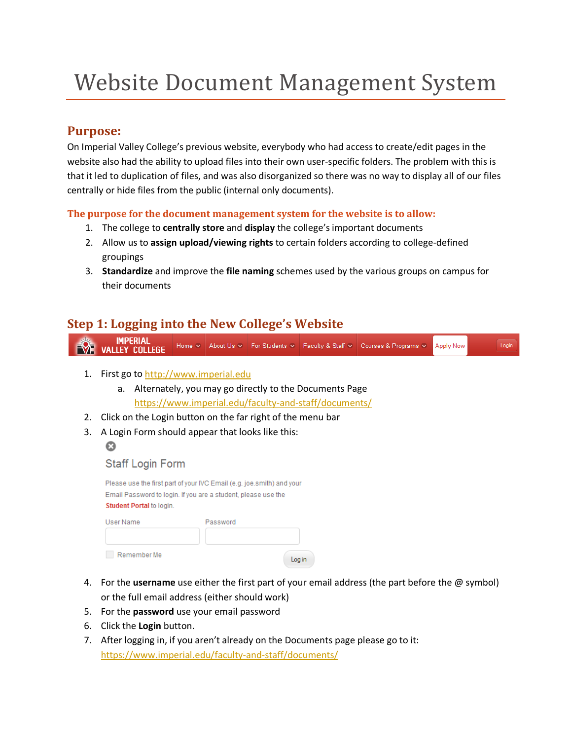# Website Document Management System

## **Purpose:**

On Imperial Valley College's previous website, everybody who had access to create/edit pages in the website also had the ability to upload files into their own user-specific folders. The problem with this is that it led to duplication of files, and was also disorganized so there was no way to display all of our files centrally or hide files from the public (internal only documents).

#### **The purpose for the document management system for the website is to allow:**

- 1. The college to **centrally store** and **display** the college's important documents
- 2. Allow us to **assign upload/viewing rights** to certain folders according to college-defined groupings
- 3. **Standardize** and improve the **file naming** schemes used by the various groups on campus for their documents

# **Step 1: Logging into the New College's Website**

**IMPERIAL**<br>**NEW VALLEY COLLEGE** Login Home v About Us v For Students v Faculty & Staff v Courses & Programs v **Apply Now** 

- 1. First go to [http://www.imperial.edu](http://www.imperial.edu/)
	- a. Alternately, you may go directly to the Documents Page <https://www.imperial.edu/faculty-and-staff/documents/>
- 2. Click on the Login button on the far right of the menu bar
- 3. A Login Form should appear that looks like this:
	- $\boldsymbol{\Omega}$

#### **Staff Login Form**

|                                 | Please use the first part of your IVC Email (e.g. joe.smith) and your |
|---------------------------------|-----------------------------------------------------------------------|
|                                 | Email Password to login. If you are a student, please use the         |
| <b>Student Portal to login.</b> |                                                                       |
| User Name                       | Password                                                              |
| Remember Me                     |                                                                       |

4. For the **username** use either the first part of your email address (the part before the @ symbol) or the full email address (either should work)

Log in

- 5. For the **password** use your email password
- 6. Click the **Login** button.
- 7. After logging in, if you aren't already on the Documents page please go to it: <https://www.imperial.edu/faculty-and-staff/documents/>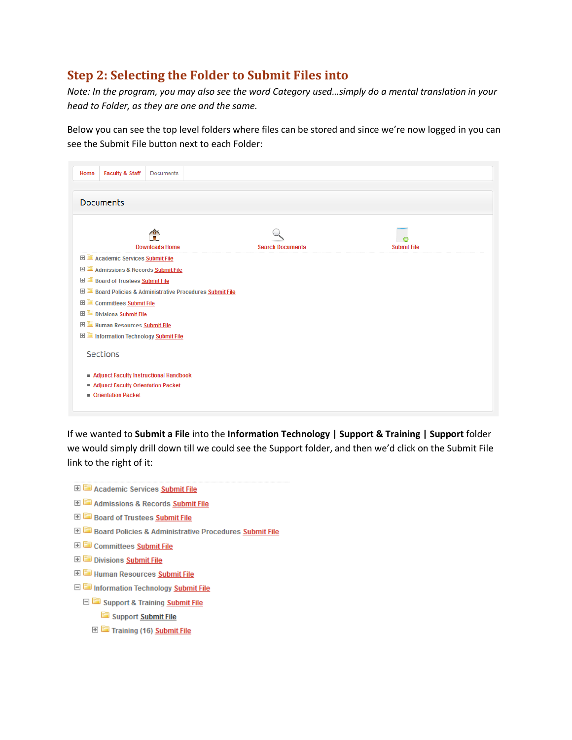# **Step 2: Selecting the Folder to Submit Files into**

*Note: In the program, you may also see the word Category used…simply do a mental translation in your head to Folder, as they are one and the same.*

Below you can see the top level folders where files can be stored and since we're now logged in you can see the Submit File button next to each Folder:

| <b>Faculty &amp; Staff</b><br><b>Documents</b><br>Home              |                         |                    |
|---------------------------------------------------------------------|-------------------------|--------------------|
| <b>Documents</b>                                                    |                         |                    |
| <b>Downloads Home</b>                                               | <b>Search Documents</b> | <b>Submit File</b> |
| Academic Services Submit File                                       |                         |                    |
| <b>E Community Admissions &amp; Records Submit File</b>             |                         |                    |
| <b>E Board of Trustees Submit File</b>                              |                         |                    |
| <b>E Board Policies &amp; Administrative Procedures Submit File</b> |                         |                    |
| <b>Education</b> Committees <b>Submit File</b>                      |                         |                    |
| <b>E</b> Divisions <b>Submit File</b>                               |                         |                    |
| <b>E</b> Human Resources <b>Submit File</b>                         |                         |                    |
| Information Technology Submit File                                  |                         |                    |
| Sections                                                            |                         |                    |
| Adjunct Faculty Instructional Handbook                              |                         |                    |
| Adjunct Faculty Orientation Packet                                  |                         |                    |
| <b>Drientation Packet</b>                                           |                         |                    |

If we wanted to **Submit a File** into the **Information Technology | Support & Training | Support** folder we would simply drill down till we could see the Support folder, and then we'd click on the Submit File link to the right of it:

- **E** Academic Services **Submit File**
- Admissions & Records Submit File
- **E Coard of Trustees Submit File**
- **E** Board Policies & Administrative Procedures **Submit File**
- **ED** Committees Submit File
- **ED** Divisions **Submit File**
- **E E** Human Resources **Submit File**
- **E** Information Technology **Submit File** 
	- Support & Training Submit File
		- Support Submit File
		- Training (16) Submit File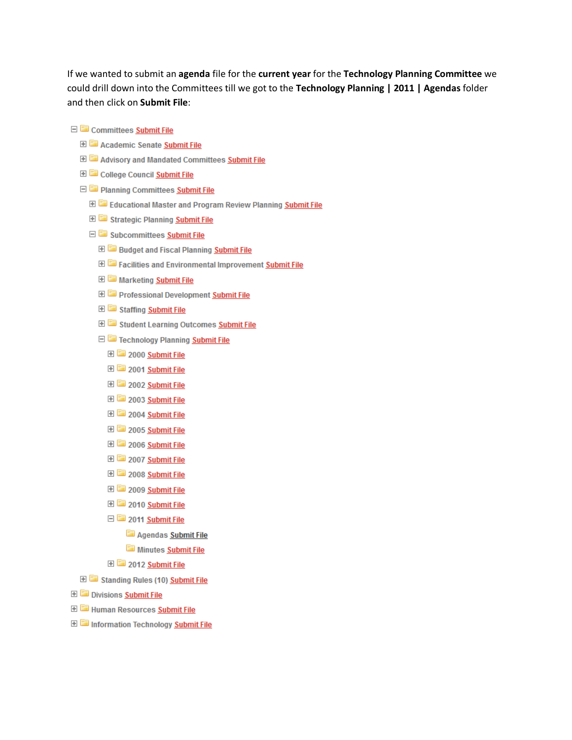If we wanted to submit an **agenda** file for the **current year** for the **Technology Planning Committee** we could drill down into the Committees till we got to the **Technology Planning | 2011 | Agendas** folder and then click on **Submit File**:

- 日 **a** Committees Submit File
	- **E Cademic Senate Submit File**
	- **E Committees** Submit File
	- **E College Council Submit File**
	- □ 2 Planning Committees Submit File
		- Educational Master and Program Review Planning Submit File
		- E Strategic Planning Submit File
		- □ Subcommittees Submit File
			- **E** Budget and Fiscal Planning **Submit File**
			- Facilities and Environmental Improvement Submit File
			- **ED** Marketing Submit File
			- **E** Professional Development Submit File
			- E Staffing Submit File
			- E Student Learning Outcomes Submit File
			- Technology Planning Submit File
				- **E** 2000 Submit File
				- **E** 2001 Submit File
				- **E** 2002 Submit File
				- **E** 2003 Submit File
				- 田 <mark>室</mark> 2004 Submit File
				- **E** 2005 Submit File
				- **E** 2006 Submit File
				- **E** 2007 Submit File
				- 田 2008 Submit File
				- E 2009 Submit File
				- 田 2010 Submit File
				- 日 2011 Submit File
					- Agendas Submit File
					- Minutes Submit File
				- **El** 2012 Submit File
	- E Standing Rules (10) Submit File
- **ED** Divisions Submit File
- **E** Human Resources **Submit File**
- Information Technology Submit File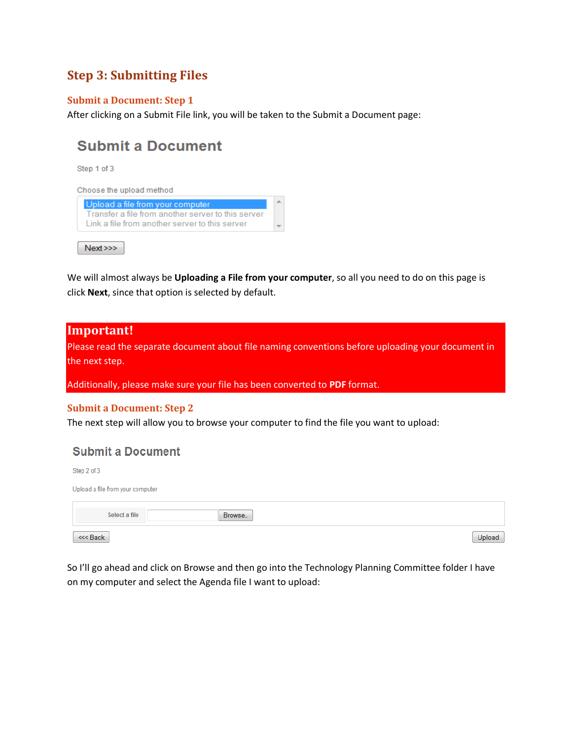# **Step 3: Submitting Files**

#### **Submit a Document: Step 1**

After clicking on a Submit File link, you will be taken to the Submit a Document page:

# **Submit a Document**

Step 1 of 3

| Upload a file from your computer                   |  |
|----------------------------------------------------|--|
| Transfer a file from another server to this server |  |
| Link a file from another server to this server     |  |

We will almost always be **Uploading a File from your computer**, so all you need to do on this page is click **Next**, since that option is selected by default.

#### **Important!**

Please read the separate document about file naming conventions before uploading your document in the next step.

Additionally, please make sure your file has been converted to **PDF** format.

#### **Submit a Document: Step 2**

The next step will allow you to browse your computer to find the file you want to upload:

#### **Submit a Document**

| Step 2 of 3                      |        |        |
|----------------------------------|--------|--------|
| Upload a file from your computer |        |        |
| Select a file                    | Browse |        |
| <<< Back                         |        | Upload |

So I'll go ahead and click on Browse and then go into the Technology Planning Committee folder I have on my computer and select the Agenda file I want to upload: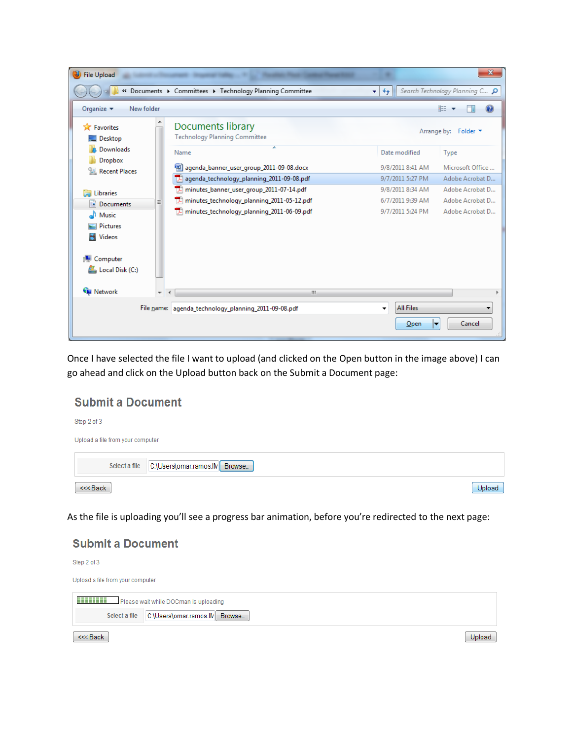| <b>File Upload</b>                                              |            |                                                           |                                  | $\mathbf{x}$                   |
|-----------------------------------------------------------------|------------|-----------------------------------------------------------|----------------------------------|--------------------------------|
|                                                                 |            | « Documents > Committees > Technology Planning Committee  | $+$<br>÷                         | Search Technology Planning C P |
| Organize $\blacktriangledown$                                   | New folder |                                                           |                                  | 脂 ▼                            |
| <b>X</b> Favorites<br>Desktop                                   |            | Documents library<br><b>Technology Planning Committee</b> |                                  | Arrange by: Folder ▼           |
| Downloads                                                       |            | ×<br>Name                                                 | Date modified                    | Type                           |
| Dropbox<br>Recent Places                                        |            | agenda_banner_user_group_2011-09-08.docx                  | 9/8/2011 8:41 AM                 | Microsoft Office               |
|                                                                 |            | agenda_technology_planning_2011-09-08.pdf                 | 9/7/2011 5:27 PM                 | Adobe Acrobat D                |
| Libraries                                                       |            | minutes_banner_user_group_2011-07-14.pdf<br>ᅐ             | 9/8/2011 8:34 AM                 | Adobe Acrobat D                |
| <b>Documents</b><br>当                                           | Ξ          | minutes_technology_planning_2011-05-12.pdf<br>ᅚ           | 6/7/2011 9:39 AM                 | Adobe Acrobat D                |
| Music<br><b>Pictures</b><br><b>Videos</b><br><b>ID</b> Computer |            | $\mathbb{Z}$ minutes technology planning 2011-06-09.pdf   | 9/7/2011 5:24 PM                 | Adobe Acrobat D                |
| Local Disk (C:)<br><b>Gu</b> Network                            |            |                                                           |                                  |                                |
|                                                                 |            | $\mathbf{H}$ .                                            |                                  |                                |
|                                                                 |            | File name: agenda_technology_planning_2011-09-08.pdf      | <b>All Files</b><br>▼<br>$O$ pen | Cancel<br>E                    |

Once I have selected the file I want to upload (and clicked on the Open button in the image above) I can go ahead and click on the Upload button back on the Submit a Document page:

## **Submit a Document**

| Step 2 of 3<br>Upload a file from your computer |                                             |        |
|-------------------------------------------------|---------------------------------------------|--------|
|                                                 | Select a file C:\Users\omar.ramos.lN Browse |        |
| <<< Back                                        |                                             | Upload |

As the file is uploading you'll see a progress bar animation, before you're redirected to the next page:

### **Submit a Document**

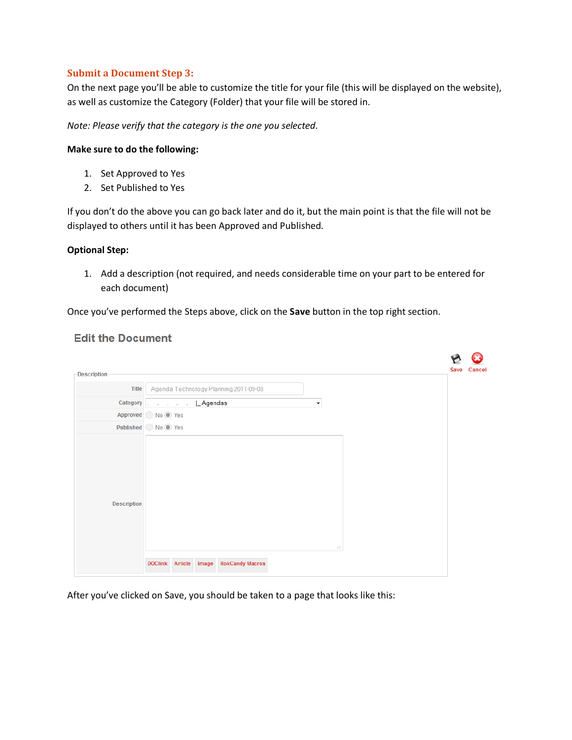#### **Submit a Document Step 3:**

On the next page you'll be able to customize the title for your file (this will be displayed on the website), as well as customize the Category (Folder) that your file will be stored in.

*Note: Please verify that the category is the one you selected.*

#### **Make sure to do the following:**

- 1. Set Approved to Yes
- 2. Set Published to Yes

If you don't do the above you can go back later and do it, but the main point is that the file will not be displayed to others until it has been Approved and Published.

#### **Optional Step:**

1. Add a description (not required, and needs considerable time on your part to be entered for each document)

Once you've performed the Steps above, click on the **Save** button in the top right section.

#### **Edit the Document**

| <b>Description</b> |                                                    | Cancel<br><b>Save</b> |
|--------------------|----------------------------------------------------|-----------------------|
| <b>Title</b>       | Agenda Technology Planning 2011-09-08              |                       |
|                    | Category   Agendas<br>$\blacktriangledown$         |                       |
|                    | Approved No O Yes                                  |                       |
|                    | Published No Yes                                   |                       |
| <b>Description</b> | af.                                                |                       |
|                    | DOClink Article<br><b>RokCandy Macros</b><br>Image |                       |

After you've clicked on Save, you should be taken to a page that looks like this: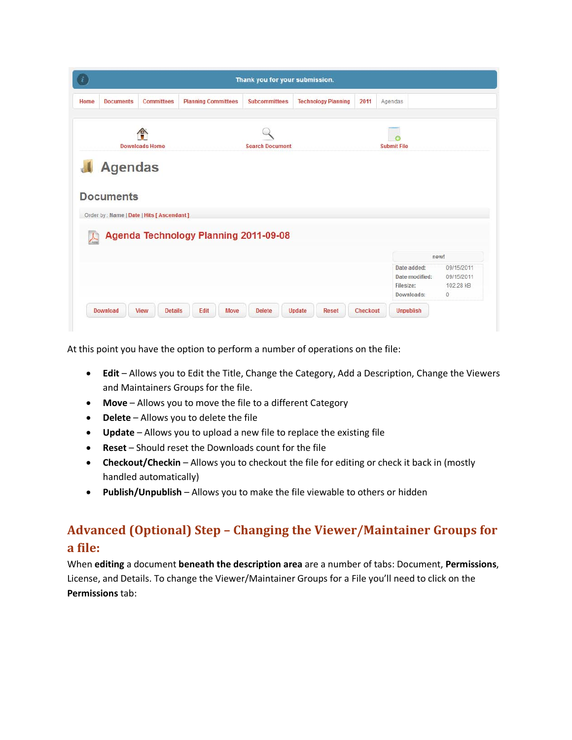| Home | <b>Documents</b> | Committees                                 | <b>Planning Committees</b> | <b>Subcommittees</b>                  | <b>Technology Planning</b> | 2011 | Agendas                     |                         |
|------|------------------|--------------------------------------------|----------------------------|---------------------------------------|----------------------------|------|-----------------------------|-------------------------|
|      |                  | $\rightarrow$                              |                            |                                       |                            |      |                             |                         |
|      |                  | <b>Downloads Home</b>                      |                            | <b>Search Document</b>                |                            |      | <b>Submit File</b>          |                         |
|      |                  |                                            |                            |                                       |                            |      |                             |                         |
|      | <b>Agendas</b>   |                                            |                            |                                       |                            |      |                             |                         |
|      |                  |                                            |                            |                                       |                            |      |                             |                         |
|      |                  |                                            |                            |                                       |                            |      |                             |                         |
|      | <b>Documents</b> |                                            |                            |                                       |                            |      |                             |                         |
|      |                  | Order by: Name   Date   Hits [ Ascendant ] |                            |                                       |                            |      |                             |                         |
|      |                  |                                            |                            |                                       |                            |      |                             |                         |
|      |                  |                                            |                            | Agenda Technology Planning 2011-09-08 |                            |      |                             |                         |
|      |                  |                                            |                            |                                       |                            |      |                             | new!                    |
|      |                  |                                            |                            |                                       |                            |      | Date added:                 | 09/15/2011              |
|      |                  |                                            |                            |                                       |                            |      | Date modified:<br>Filesize: | 09/15/2011<br>102.28 kB |
|      |                  |                                            |                            |                                       |                            |      | Downloads:                  | $\theta$                |

At this point you have the option to perform a number of operations on the file:

- **Edit** Allows you to Edit the Title, Change the Category, Add a Description, Change the Viewers and Maintainers Groups for the file.
- **Move** Allows you to move the file to a different Category
- **Delete** Allows you to delete the file
- **Update** Allows you to upload a new file to replace the existing file
- **Reset** Should reset the Downloads count for the file
- **Checkout/Checkin** Allows you to checkout the file for editing or check it back in (mostly handled automatically)
- **Publish/Unpublish** Allows you to make the file viewable to others or hidden

# **Advanced (Optional) Step – Changing the Viewer/Maintainer Groups for a file:**

When **editing** a document **beneath the description area** are a number of tabs: Document, **Permissions**, License, and Details. To change the Viewer/Maintainer Groups for a File you'll need to click on the **Permissions** tab: